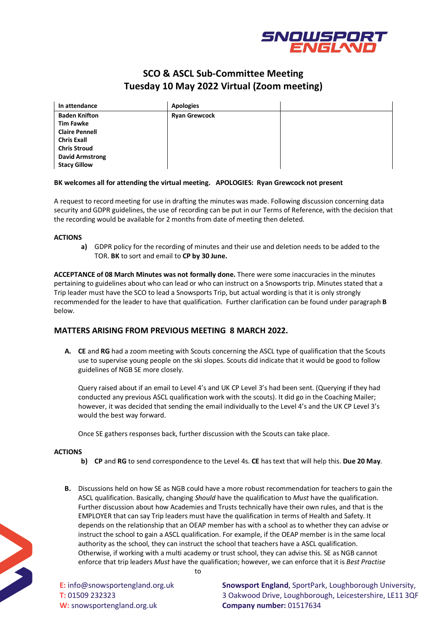

# **SCO & ASCL Sub-Committee Meeting Tuesday 10 May 2022 Virtual (Zoom meeting)**

| In attendance          | <b>Apologies</b>     |  |
|------------------------|----------------------|--|
| <b>Baden Knifton</b>   | <b>Ryan Grewcock</b> |  |
| <b>Tim Fawke</b>       |                      |  |
| <b>Claire Pennell</b>  |                      |  |
| <b>Chris Exall</b>     |                      |  |
| <b>Chris Stroud</b>    |                      |  |
| <b>David Armstrong</b> |                      |  |
| <b>Stacy Gillow</b>    |                      |  |

## **BK welcomes all for attending the virtual meeting. APOLOGIES: Ryan Grewcock not present**

A request to record meeting for use in drafting the minutes was made. Following discussion concerning data security and GDPR guidelines, the use of recording can be put in our Terms of Reference, with the decision that the recording would be available for 2 months from date of meeting then deleted.

## **ACTIONS**

**a)** GDPR policy for the recording of minutes and their use and deletion needs to be added to the TOR. **BK** to sort and email to **CP by 30 June.**

**ACCEPTANCE of 08 March Minutes was not formally done.** There were some inaccuracies in the minutes pertaining to guidelines about who can lead or who can instruct on a Snowsports trip. Minutes stated that a Trip leader must have the SCO to lead a Snowsports Trip, but actual wording is that it is only strongly recommended for the leader to have that qualification. Further clarification can be found under paragraph **B** below.

## **MATTERS ARISING FROM PREVIOUS MEETING 8 MARCH 2022.**

**A. CE** and **RG** had a zoom meeting with Scouts concerning the ASCL type of qualification that the Scouts use to supervise young people on the ski slopes. Scouts did indicate that it would be good to follow guidelines of NGB SE more closely.

Query raised about if an email to Level 4's and UK CP Level 3's had been sent. (Querying if they had conducted any previous ASCL qualification work with the scouts). It did go in the Coaching Mailer; however, it was decided that sending the email individually to the Level 4's and the UK CP Level 3's would the best way forward.

Once SE gathers responses back, further discussion with the Scouts can take place.

## **ACTIONS**

- **b) CP** and **RG** to send correspondence to the Level 4s. **CE** has text that will help this. **Due 20 May**.
- **B.** Discussions held on how SE as NGB could have a more robust recommendation for teachers to gain the ASCL qualification. Basically, changing *Should* have the qualification to *Must* have the qualification. Further discussion about how Academies and Trusts technically have their own rules, and that is the EMPLOYER that can say Trip leaders must have the qualification in terms of Health and Safety. It depends on the relationship that an OEAP member has with a school as to whether they can advise or instruct the school to gain a ASCL qualification. For example, if the OEAP member is in the same local authority as the school, they can instruct the school that teachers have a ASCL qualification. Otherwise, if working with a multi academy or trust school, they can advise this. SE as NGB cannot enforce that trip leaders *Must* have the qualification; however, we can enforce that it is *Best Practise*



**E:** info@snowsportengland.org.uk **T:** 01509 232323 **W:** snowsportengland.org.uk

**Snowsport England**, SportPark, Loughborough University, 3 Oakwood Drive, Loughborough, Leicestershire, LE11 3QF **Company number:** 01517634

to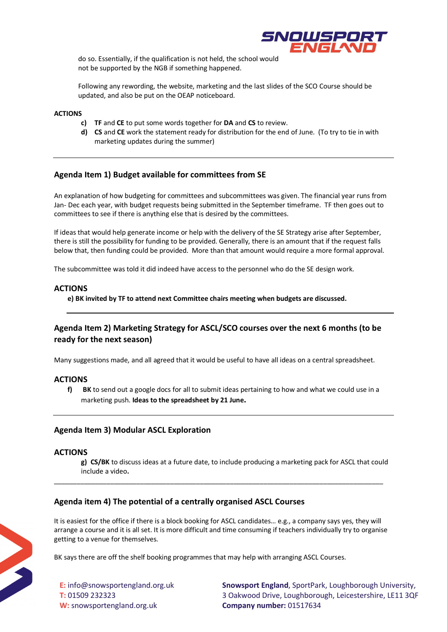

do so. Essentially, if the qualification is not held, the school would not be supported by the NGB if something happened.

Following any rewording, the website, marketing and the last slides of the SCO Course should be updated, and also be put on the OEAP noticeboard.

## **ACTIONS**

- **c) TF** and **CE** to put some words together for **DA** and **CS** to review.
- **d) CS** and **CE** work the statement ready for distribution for the end of June.(To try to tie in with marketing updates during the summer)

## **Agenda Item 1) Budget available for committees from SE**

An explanation of how budgeting for committees and subcommittees was given. The financial year runs from Jan- Dec each year, with budget requests being submitted in the September timeframe. TF then goes out to committees to see if there is anything else that is desired by the committees.

If ideas that would help generate income or help with the delivery of the SE Strategy arise after September, there is still the possibility for funding to be provided. Generally, there is an amount that if the request falls below that, then funding could be provided. More than that amount would require a more formal approval.

The subcommittee was told it did indeed have access to the personnel who do the SE design work.

## **ACTIONS**

**e) BK invited by TF to attend next Committee chairs meeting when budgets are discussed.**

## **Agenda Item 2) Marketing Strategy for ASCL/SCO courses over the next 6 months (to be ready for the next season)**

Many suggestions made, and all agreed that it would be useful to have all ideas on a central spreadsheet.

## **ACTIONS**

**f) BK** to send out a google docs for all to submit ideas pertaining to how and what we could use in a marketing push. **Ideas to the spreadsheet by 21 June.** 

## **Agenda Item 3) Modular ASCL Exploration**

## **ACTIONS**

**g) CS/BK** to discuss ideas at a future date, to include producing a marketing pack for ASCL that could include a video**.** 

## **Agenda item 4) The potential of a centrally organised ASCL Courses**

It is easiest for the office if there is a block booking for ASCL candidates… e.g., a company says yes, they will arrange a course and it is all set. It is more difficult and time consuming if teachers individually try to organise getting to a venue for themselves.

\_\_\_\_\_\_\_\_\_\_\_\_\_\_\_\_\_\_\_\_\_\_\_\_\_\_\_\_\_\_\_\_\_\_\_\_\_\_\_\_\_\_\_\_\_\_\_\_\_\_\_\_\_\_\_\_\_\_\_\_\_\_\_\_\_\_\_\_\_\_\_\_\_\_\_\_\_\_\_\_\_\_\_\_\_\_\_\_

BK says there are off the shelf booking programmes that may help with arranging ASCL Courses.

**E:** info@snowsportengland.org.uk **T:** 01509 232323 **W:** snowsportengland.org.uk

**Snowsport England**, SportPark, Loughborough University, 3 Oakwood Drive, Loughborough, Leicestershire, LE11 3QF **Company number:** 01517634